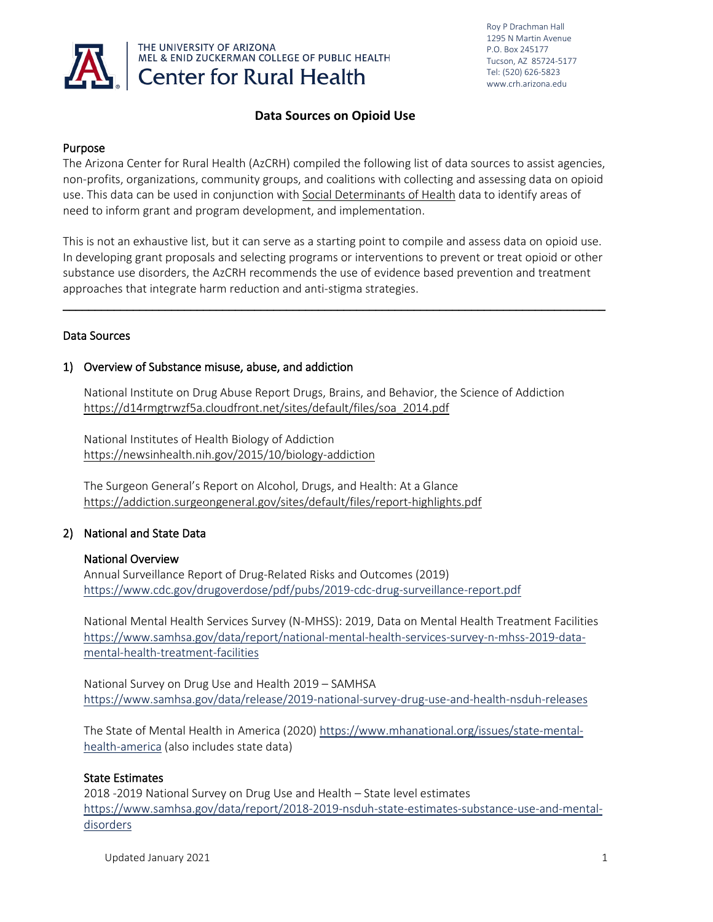

### **Data Sources on Opioid Use**

### Purpose

The Arizona Center for Rural Health (AzCRH) compiled the following list of data sources to assist agencies, non-profits, organizations, community groups, and coalitions with collecting and assessing data on opioid use. This data can be used in conjunction wit[h Social Determinants of Health](https://www.healthypeople.gov/2020/topics-objectives/topic/social-determinants-of-health) data to identify areas of need to inform grant and program development, and implementation.

This is not an exhaustive list, but it can serve as a starting point to compile and assess data on opioid use. In developing grant proposals and selecting programs or interventions to prevent or treat opioid or other substance use disorders, the AzCRH recommends the use of evidence based prevention and treatment approaches that integrate harm reduction and anti-stigma strategies.

 $\_$  ,  $\_$  ,  $\_$  ,  $\_$  ,  $\_$  ,  $\_$  ,  $\_$  ,  $\_$  ,  $\_$  ,  $\_$  ,  $\_$  ,  $\_$  ,  $\_$  ,  $\_$  ,  $\_$  ,  $\_$  ,  $\_$  ,  $\_$  ,  $\_$  ,  $\_$  ,  $\_$  ,  $\_$  ,  $\_$  ,  $\_$  ,  $\_$  ,  $\_$  ,  $\_$  ,  $\_$  ,  $\_$  ,  $\_$  ,  $\_$  ,  $\_$  ,  $\_$  ,  $\_$  ,  $\_$  ,  $\_$  ,  $\_$  ,

### Data Sources

### 1) Overview of Substance misuse, abuse, and addiction

National Institute on Drug Abuse Report Drugs, Brains, and Behavior, the Science of Addiction [https://d14rmgtrwzf5a.cloudfront.net/sites/default/files/soa\\_2014.pdf](https://d14rmgtrwzf5a.cloudfront.net/sites/default/files/soa_2014.pdf)

National Institutes of Health Biology of Addiction <https://newsinhealth.nih.gov/2015/10/biology-addiction>

The Surgeon General's Report on Alcohol, Drugs, and Health: At a Glance <https://addiction.surgeongeneral.gov/sites/default/files/report-highlights.pdf>

## 2) National and State Data

### National Overview

Annual Surveillance Report of Drug-Related Risks and Outcomes (2019) <https://www.cdc.gov/drugoverdose/pdf/pubs/2019-cdc-drug-surveillance-report.pdf>

National Mental Health Services Survey (N-MHSS): 2019, Data on Mental Health Treatment Facilities [https://www.samhsa.gov/data/report/national-mental-health-services-survey-n-mhss-2019-data](https://www.samhsa.gov/data/report/national-mental-health-services-survey-n-mhss-2019-data-mental-health-treatment-facilities)[mental-health-treatment-facilities](https://www.samhsa.gov/data/report/national-mental-health-services-survey-n-mhss-2019-data-mental-health-treatment-facilities)

National Survey on Drug Use and Health 2019 – SAMHSA <https://www.samhsa.gov/data/release/2019-national-survey-drug-use-and-health-nsduh-releases>

The State of Mental Health in America (2020) [https://www.mhanational.org/issues/state-mental](https://www.mhanational.org/issues/state-mental-health-america)[health-america](https://www.mhanational.org/issues/state-mental-health-america) (also includes state data)

### State Estimates

2018 -2019 National Survey on Drug Use and Health – State level estimates [https://www.samhsa.gov/data/report/2018-2019-nsduh-state-estimates-substance-use-and-mental](https://www.samhsa.gov/data/report/2018-2019-nsduh-state-estimates-substance-use-and-mental-disorders)[disorders](https://www.samhsa.gov/data/report/2018-2019-nsduh-state-estimates-substance-use-and-mental-disorders)

Updated January 2021 11 and 2001 12 and 2008 12 and 2008 12 and 2008 12 and 2008 12 and 2008 12 and 2008 12 and 2008 12 and 2008 12 and 2008 12 and 2008 12 and 2008 12 and 2008 12 and 2008 12 and 2008 12 and 2008 12 and 20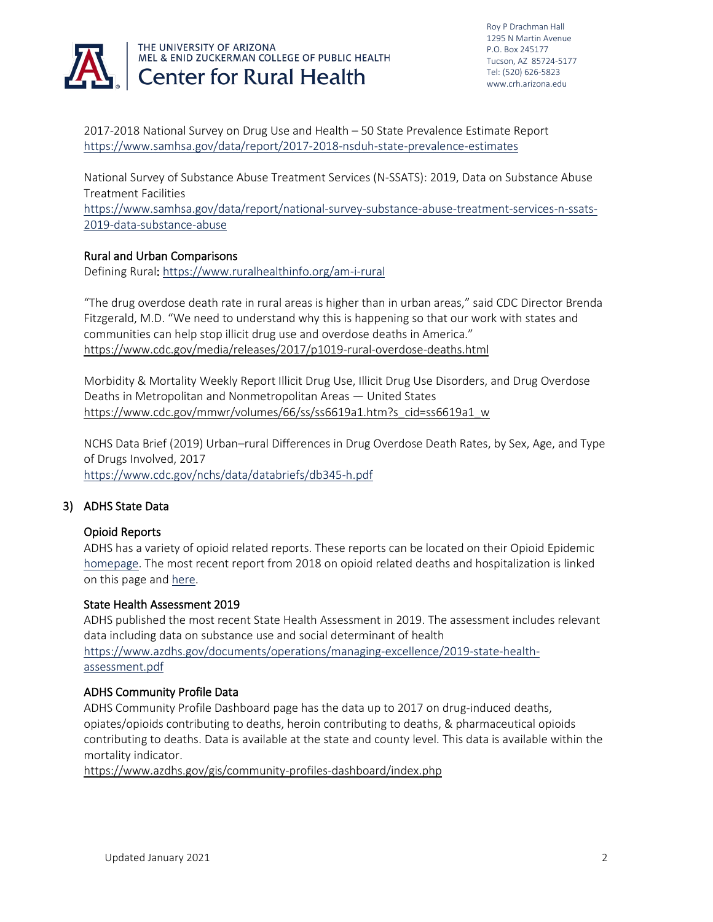

2017-2018 National Survey on Drug Use and Health – 50 State Prevalence Estimate Report <https://www.samhsa.gov/data/report/2017-2018-nsduh-state-prevalence-estimates>

National Survey of Substance Abuse Treatment Services (N-SSATS): 2019, Data on Substance Abuse Treatment Facilities

[https://www.samhsa.gov/data/report/national-survey-substance-abuse-treatment-services-n-ssats-](https://www.samhsa.gov/data/report/national-survey-substance-abuse-treatment-services-n-ssats-2019-data-substance-abuse)[2019-data-substance-abuse](https://www.samhsa.gov/data/report/national-survey-substance-abuse-treatment-services-n-ssats-2019-data-substance-abuse)

### Rural and Urban Comparisons

Defining Rural[: https://www.ruralhealthinfo.org/am-i-rural](https://www.ruralhealthinfo.org/am-i-rural) 

"The drug overdose death rate in rural areas is higher than in urban areas," said CDC Director Brenda Fitzgerald, M.D. "We need to understand why this is happening so that our work with states and communities can help stop illicit drug use and overdose deaths in America." <https://www.cdc.gov/media/releases/2017/p1019-rural-overdose-deaths.html>

Morbidity & Mortality Weekly Report Illicit Drug Use, Illicit Drug Use Disorders, and Drug Overdose Deaths in Metropolitan and Nonmetropolitan Areas — United States [https://www.cdc.gov/mmwr/volumes/66/ss/ss6619a1.htm?s\\_cid=ss6619a1\\_w](https://www.cdc.gov/mmwr/volumes/66/ss/ss6619a1.htm?s_cid=ss6619a1_w)

NCHS Data Brief (2019) Urban–rural Differences in Drug Overdose Death Rates, by Sex, Age, and Type of Drugs Involved, 2017 <https://www.cdc.gov/nchs/data/databriefs/db345-h.pdf>

### 3) ADHS State Data

### Opioid Reports

ADHS has a variety of opioid related reports. These reports can be located on their Opioid Epidemic [homepage.](https://www.azdhs.gov/prevention/womens-childrens-health/injury-prevention/opioid-prevention/index.php) The most recent report from 2018 on opioid related deaths and hospitalization is linked on this page an[d here.](https://www.azdhs.gov/documents/prevention/health-systems-development/epidamic/2018-opioid-death-hospitalizations.pdf)

### State Health Assessment 2019

ADHS published the most recent State Health Assessment in 2019. The assessment includes relevant data including data on substance use and social determinant of health [https://www.azdhs.gov/documents/operations/managing-excellence/2019-state-health](https://www.azdhs.gov/documents/operations/managing-excellence/2019-state-health-assessment.pdf)[assessment.pdf](https://www.azdhs.gov/documents/operations/managing-excellence/2019-state-health-assessment.pdf)

### ADHS Community Profile Data

ADHS Community Profile Dashboard page has the data up to 2017 on drug-induced deaths, opiates/opioids contributing to deaths, heroin contributing to deaths, & pharmaceutical opioids contributing to deaths. Data is available at the state and county level. This data is available within the mortality indicator.

<https://www.azdhs.gov/gis/community-profiles-dashboard/index.php>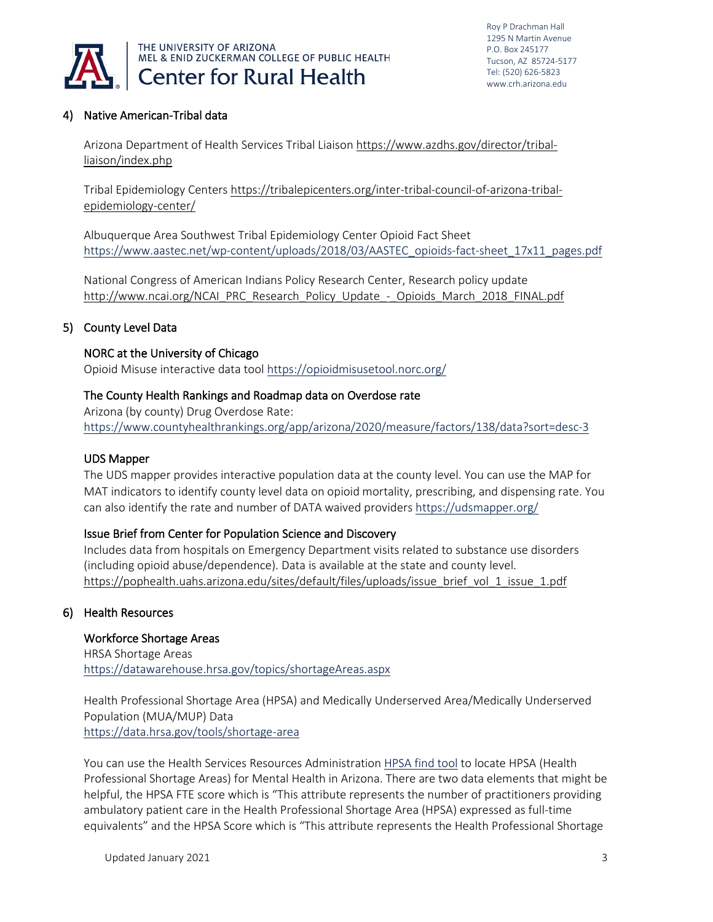

## 4) Native American-Tribal data

Arizona Department of Health Services Tribal Liaison [https://www.azdhs.gov/director/tribal](https://www.azdhs.gov/director/tribal-liaison/index.php)[liaison/index.php](https://www.azdhs.gov/director/tribal-liaison/index.php)

Tribal Epidemiology Centers [https://tribalepicenters.org/inter-tribal-council-of-arizona-tribal](https://tribalepicenters.org/inter-tribal-council-of-arizona-tribal-epidemiology-center/)[epidemiology-center/](https://tribalepicenters.org/inter-tribal-council-of-arizona-tribal-epidemiology-center/)

Albuquerque Area Southwest Tribal Epidemiology Center Opioid Fact Sheet [https://www.aastec.net/wp-content/uploads/2018/03/AASTEC\\_opioids-fact-sheet\\_17x11\\_pages.pdf](https://www.aastec.net/wp-content/uploads/2018/03/AASTEC_opioids-fact-sheet_17x11_pages.pdf)

National Congress of American Indians Policy Research Center, Research policy update [http://www.ncai.org/NCAI\\_PRC\\_Research\\_Policy\\_Update\\_-\\_Opioids\\_March\\_2018\\_FINAL.pdf](http://www.ncai.org/NCAI_PRC_Research_Policy_Update_-_Opioids_March_2018_FINAL.pdf)

### 5) County Level Data

### NORC at the University of Chicago

Opioid Misuse interactive data tool<https://opioidmisusetool.norc.org/>

### The County Health Rankings and Roadmap data on Overdose rate

Arizona (by county) Drug Overdose Rate: <https://www.countyhealthrankings.org/app/arizona/2020/measure/factors/138/data?sort=desc-3>

#### UDS Mapper

The UDS mapper provides interactive population data at the county level. You can use the MAP for MAT indicators to identify county level data on opioid mortality, prescribing, and dispensing rate. You can also identify the rate and number of DATA waived providers<https://udsmapper.org/>

### Issue Brief from Center for Population Science and Discovery

Includes data from hospitals on Emergency Department visits related to substance use disorders (including opioid abuse/dependence). Data is available at the state and county level. [https://pophealth.uahs.arizona.edu/sites/default/files/uploads/issue\\_brief\\_vol\\_1\\_issue\\_1.pdf](https://pophealth.uahs.arizona.edu/sites/default/files/uploads/issue_brief_vol_1_issue_1.pdf)

### 6) Health Resources

#### Workforce Shortage Areas

HRSA Shortage Areas <https://datawarehouse.hrsa.gov/topics/shortageAreas.aspx>

Health Professional Shortage Area (HPSA) and Medically Underserved Area/Medically Underserved Population (MUA/MUP) Data <https://data.hrsa.gov/tools/shortage-area>

You can use the Health Services Resources Administration [HPSA find tool](https://data.hrsa.gov/tools/shortage-area/hpsa-find) to locate HPSA (Health Professional Shortage Areas) for Mental Health in Arizona. There are two data elements that might be helpful, the HPSA FTE score which is "This attribute represents the number of practitioners providing ambulatory patient care in the Health Professional Shortage Area (HPSA) expressed as full-time equivalents" and the HPSA Score which is "This attribute represents the Health Professional Shortage